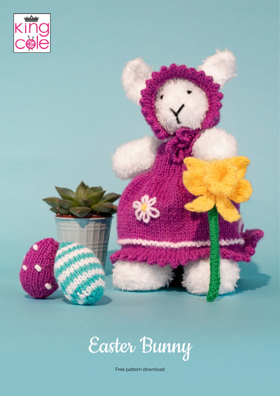

Easter Bunny

Free pattern download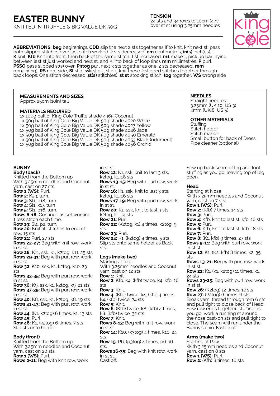**TENSION** 24 sts and 34 rows to 10cm (4in) over st st using 3.25mm needles

**ABBREVIATIONS: beg** begin(ning), **CDD** slip the next 2 sts together as if to knit, knit next st, pass both slipped stitches over last stitch worked. 2 sts decreased, **cm** centimetres, **in(s)** inch(es), **K** knit, **Kfb** Knit into front, then back of the same stitch. 1 st increased. **m1** make 1, pick up bar laying between last st just worked and next st, and K into back of loop (inc), **mm** millimetres, **P** purl, **PSSO** pass slipped st(s) over, **P3tog** purl next 3 sts together as one. 2 sts decreased, **rem** remain(ing), **RS** right side, **Sl** slip, **ssk** slip 1, slip 1, knit these 2 slipped stitches together through back loops. One stitch decreased. **st(s)** stitch(es), **st st** stocking stitch, **tog** together, **WS** wrong side

# **MEASUREMENTS AND SIZES**

Approx 25cm (10in) tall

# **MATERIALS REQUIRED**

1x 100g ball of King Cole Truffle shade 4365 Coconut 1x 50g ball of King Cole Big Value DK 50g shade 4020 White 1x 50g ball of King Cole Big Value DK 50g shade 4027 Yellow 1x 50g ball of King Cole Big Value DK 50g shade 4046 Jade 1x 50g ball of King Cole Big Value DK 50g shade 4050 Emerald 1x 50g ball of King Cole Big Value DK 50g shade 4053 Black (oddment) 1x 50g ball of King Cole Big Value DK 50g shade 4056 Orchid

#### **BUNNY Body (back)**

Knitted from the Bottom up. With 3.25mm needles and Coconut yarn, cast on 27 sts. **Row 1 (WS):** Purl. **Row 2:** K23, turn. **Row 3:** Sl1, p18, turn. **Row 4:** Sl1, k17, turn **Row 5:** Sl<sub>1</sub>, p<sub>16</sub>, turn. **Rows 6-18:** Continue as set working 1 less stitch each time. **Row 19: Sl1, p2, turn. Row 20:** Knit all stitches to end of row. 15 sts **Row 21:** Purl. 27 sts **Rows 22-27:** Beg with knit row, work in st st. **Row 28:** K11, ssk, k1, k2tog, k11. 25 sts **Rows 29-31:** Beg with purl row, work in st st. **Row 32:** K10, ssk, k1, k2tog, k10. 23 sts **Rows 33-35:** Beg with purl row, work in st st. **Row 36:** K9, ssk, k1, k2tog, k9. 21 sts **Rows 37-39:** Beg with purl row, work in st st. **Row 40:** K8, ssk, k1, k2tog, k8. 19 sts **Rows 41-43:** Beg with purl row, work in st st. **Row 44:** (K1, k2tog) 6 times, k1. 13 sts **Row 45:** Purl. **Row 46:** K1, (k2tog) 6 times. 7 sts Slip sts onto holder. **Body (front)** Knitted from the Bottom up. With 3.25mm needles and Coconut yarn, cast on 20 sts. **Row 1 (WS):** Purl. **Rows 2-11:** Beg with knit row, work

in st st. **Row 12:** K1, ssk, knit to last 3 sts, k2tog, k1. 18 sts **Rows 13-15:** Beg with purl row, work in st st. **Row 16:** K1, ssk, knit to last 3 sts, k2tog, k1. 16 sts **Rows 17-19:** Beg with purl row, work in st st. **Row 20:** K<sub>1</sub>, ssk, knit to last 3 sts, k2tog, k1. 14 sts **Row 21:** Purl. **Row 22:** (K2tog, k1) 4 times, k2tog. 9 sts **Row 23:** Purl. **Row 24:** K1, (k2tog) 4 times. 5 sts Slip sts onto same holder as Back sts. **Legs (make two)** Starting at foot. With 3.25mm needles and Coconut yarn, cast on 12 sts. **Row 1:** Knit. **Row 2:** Kfb, k4, (kfb) twice, k4, kfb. 16 sts **Row 3:** Knit. **Row 4:** (Kfb) twice, k4, (kfb) 4 times, k4, (kfb) twice. 24 sts **Row 5:** Knit. **Row 6:** (Kfb) twice, k8, (kfb) 4 times, k8, (kfb) twice. 32 sts **Row 7:** Knit. **Rows 8-13:** Beg with knit row, work in st st. **Row 14:** K10, (k3tog) 4 times, k10. 24 sts **Row 15:** P6, (p3tog) 4 times, p6. 16 sts. **Rows 16-35:** Beg with knit row, work in st st. Cast off.

Small button for back of Dress.

Sew up back seam of leg and foot, stuffing as you go, leaving top of leg open.

# **Head**

**NEEDLES** Straight needles: 3.25mm (UK 10, US 3) 4mm (UK 8, US 5)

**Stuffing** Stitch holder Stitch marker

**OTHER MATERIALS**

Pipe cleaner (optional)

Starting at Nose With 3.25mm needles and Coconut yarn, cast on 7 sts.

- **Row 1 (WS):** Purl.
- **Row 2:** (Kfb) 7 times. 14 sts
- **Row 3:** Purl.
- **Row 4:** Kfb, knit to last st, kfb. 16 sts **Row 5:** Purl.
- **Row 6:** Kfb, knit to last st, kfb. 18 sts **Row 7:** Purl.

**Row 8:** (K1, kfb) 9 times. 27 sts

**Rows 9-11:** Beg with purl row, work in st st.

**Row 12:** K1, (K2, kfb) 8 times, k2. 35 sts.

**Rows 13-21:** Beg with purl row, work in st st.

**Row 22:** K<sub>1</sub>, (k<sub>1</sub>, k<sub>2</sub>tog) <sub>11</sub> times, k<sub>1</sub>. 24 sts

**Rows 23-25:** Beg with purl row, work in st st.

**Row 26:** (K2tog) 12 times. 12 sts **Row 27:** (P2tog) 6 times. 6 sts Break yarn, thread through rem 6 sts and pull tight to close back of Head. Sew row ends together, stuffing as you go, work a running st around the nose cast-on sts and pull tight to close. The seam will run under the Bunny's chin. Fasten off

## **Arms (make two)**

Starting at Paw With 3.25mm needles and Coconut yarn, cast on 8 sts. **Row 1 (WS):** Purl. **Row 2:** (Kfb) 8 times. 16 sts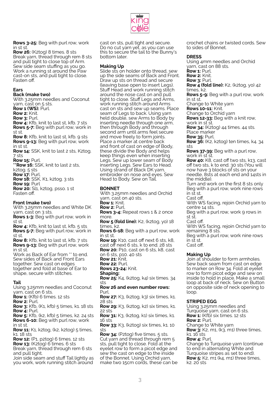

**Rows 3-25:** Beg with purl row, work in st st.

**Row 26:** (K2tog) 8 times. 8 sts Break yarn, thread through rem 8 sts and pull tight to close top of Arm. Sew side seam stuffing as you go. Work a running st around the Paw cast-on sts, and pull tight to close. Fasten off.

#### **Ears**

#### **Back (make two)**

With 3.25mm needles and Coconut yarn, cast on 5 sts. **Row 1 (WS):** Purl. **Row 2:** Knit. **Row 3:** Purl. **Row 4:** Kfb, knit to last st, kfb. 7 sts **Rows 5-7:** Beg with purl row, work in st st.

**Row 8:** Kfb, knit to last st, kfb. 9 sts **Rows 9-13:** Beg with purl row, work in st st.

**Row 14:** SSK, knit to last 2 sts, K2tog. 7 sts

**Row 15:** Purl.

**\*\*Row 16:** SSK, knit to last 2 sts, k2tog. 5 sts **Row 17:** Purl. **Row 18:** SSK, K1, k2tog. 3 sts **Row 19:** Purl

**Row 20:** Sl1, k2tog, psso. 1 st Fasten off.

#### **Front (make two)**

With 3.25mm needles and White DK yarn, cast on 3 sts.

**Rows 1-3:** Beg with purl row, work in st st.

**Row 4:** Kfb, knit to last st, kfb. 5 sts **Rows 5-7:** Beg with purl row, work in st st.

**Row 8:** Kfb, knit to last st, kfb. 7 sts **Rows 9-13:** Beg with purl row, work in st st.

Work as Back of Ear from \*\* to end. Sew sides of Back and Front Ears together. Sew cast on edges together and fold at base of Ear to shape, secure with stitches.

#### **Tail**

Using 3.25mm needles and Coconut yarn, cast on 6 sts.

**Row 1:** (Kfb) 6 times. 12 sts

**Row 2:** Purl.

**Row 3:** Kfb, (K1, kfb) 5 times, k1. 18 sts **Row 4:** Purl.

**Row 5:** Kfb, (k2, kfb) 5 times, k2. 24 sts **Rows 6-10:** Beg with purl row, work in st st.

**Row 11:** K1, k2tog, (k2, k2tog) 5 times, k1. 18 sts

**Row 12:** (P1, p2tog) 6 times. 12 sts

**Row 13:** (K2tog) 6 times. 6 sts

Break yarn, thread through rem 6 sts and pull tight.

Join side seam and stuff Tail lightly as you work, work running stitch around

cast on sts, pull tight and secure. Do no cut yarn yet, as you can use this to secure the tail to the Bunny's bottom later.

## **Making Up**

Slide sts on holder onto thread, sew up the side seams of Back and Front. Draw up sts on thread and secure (leaving base open to insert Legs). Stuff Head and work running stitch around the nose cast on and pull tight to close. Stuff Legs and Arms, work running stitch around Arms cast on sts and sew up seams. Place seam of Legs to back. Using yarn held double, sew Arms to Body by inserting needle through one arm, then through Body and through second arm until arms feel secure and move freely to form joints. Place a marker at centre back and front of cast on edge of Body, these divide the Body and helps keep things even when inserting Legs. Sew up lower seam of Body inserting Legs. Sew Ears to Head. Using strand of Black DK yarn, embroider on nose and eyes. Sew Head to Body. Sew on Tail.

## **BONNET**

With 3.25mm needles and Orchid yarn, cast on 40 sts.

**Row 1:** Knit.

**Row 2:** Purl.

**Rows 3-4:** Repeat rows 1 & 2 once more.

**Row 5 (fold line):** K2, (k2tog, yo) 18 times, k2.

**Rows 6-18:** Beg with a purl row, work in st st.

**Row 19:** K10, cast off next 6 sts, k8, cast off next 6 sts, k to end. 28 sts **Row 20:** P10, cast on 6 sts, k8, cast

on 6 sts, p10. 40 sts

**Row 21: Knit.** 

**Row 22:** Purl.

**Rows 23-24:** Knit.

**Shaping:**

**Row 25:** K4, (k2tog, k4) six times. 34 sts

#### **Row 26 and even number rows:**  Purl.

**Row 27:** K3, (k2tog, k3) six times, k1. 28 sts

**Row 29:** K3, (k2tog, k2) six times, k1. 22 sts

**Row 31:** K3, (k2tog, k1) six times, k1. 16 sts

**Row 33:** K3, (k2tog) six times, k1. 10 sts

**Row 34:** (P2tog) five times. 5 sts. Cut yarn and thread through rem 5 sts, pull tight to close. Fold at the eyelet row to form a picot edge and sew the cast on edge to the inside of the Bonnet. Using Orchid yarn, make two 15cm cords, these can be crochet chains or twisted cords. Sew to sides of Bonnet.

# **DRESS**

Using 4mm needles and Orchid yarn, cast on 88 sts. **Row 1:** Purl. **Row 2:** Knit. **Row 3:** Purl. **Row 4 (fold line):** K2, (k2tog, yo) 42 times, k2. **Rows 5-9:** Beg with a purl row, work in st st. Change to White yarn **Rows 10-11:** Knit. Change to Orchid yarn **Rows 12-33:** Beg with a knit row, work in st st. **Row 34:** (K2tog) 44 times. 44 sts. Place marker

**Row 35:** Purl.

**Row 36:** (K2, k2tog) ten times, k4. 34 sts

**Rows 37-39:** Beg with a purl row, work in st st.

**Row 40:** K8, cast off two sts, k13, cast off two sts, k to end. 30 sts (You will now have 3 blocks of sts on your needle, 8sts at each end and 14sts in the middle).

Turn and work on the first 8 sts only Beg with a purl row, work nine rows in st st.

Cast off.

With WS facing, rejoin Orchid yarn to centre 14 sts.

Beg with a purl row, work 9 rows in st st.

Cast off.

With WS facing, rejoin Orchid yarn to remaining 8 sts.

Beg with a purl row, work nine rows in st st.

Cast off.

# **Making Up**

Join at shoulder to form armholes. Sew back seam from cast on edge to marker on Row 34. Fold at eyelet row to form picot edge and sew on inside to hold in place. Make a small loop at back of neck. Sew on Button on opposite side of neck opening to loop.

# **STRIPED EGG**

Using 3.25mm needles and Turquoise yarn, cast on 6 sts. **Row 1:** (Kfb) six times. 12 sts **Row 2:** Purl. Change to White yarn **Row 3:** K2, m1, (k3, m1) three times, k1. 16 sts **Row 4:** Purl.

Change to Turquoise yarn (continue to end in alternating White and Turquoise stripes as set to end). **Row 5:** K2, m1 (k4, m1) three times, k2. 20 sts